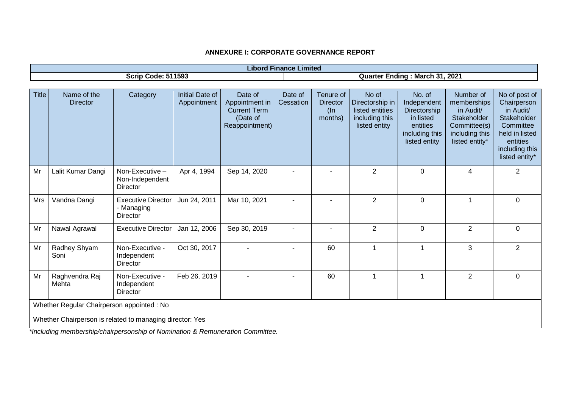|              | <b>Libord Finance Limited</b>                            |                                                            |                                |                                                                                |                      |                                                   |                                                                                |                                                                                                   |                                                                                                          |                                                                                                                                         |
|--------------|----------------------------------------------------------|------------------------------------------------------------|--------------------------------|--------------------------------------------------------------------------------|----------------------|---------------------------------------------------|--------------------------------------------------------------------------------|---------------------------------------------------------------------------------------------------|----------------------------------------------------------------------------------------------------------|-----------------------------------------------------------------------------------------------------------------------------------------|
|              |                                                          | <b>Scrip Code: 511593</b>                                  |                                |                                                                                |                      |                                                   |                                                                                | Quarter Ending: March 31, 2021                                                                    |                                                                                                          |                                                                                                                                         |
|              |                                                          |                                                            |                                |                                                                                |                      |                                                   |                                                                                |                                                                                                   |                                                                                                          |                                                                                                                                         |
| <b>Title</b> | Name of the<br><b>Director</b>                           | Category                                                   | Initial Date of<br>Appointment | Date of<br>Appointment in<br><b>Current Term</b><br>(Date of<br>Reappointment) | Date of<br>Cessation | Tenure of<br><b>Director</b><br>$($ ln<br>months) | No of<br>Directorship in<br>listed entities<br>including this<br>listed entity | No. of<br>Independent<br>Directorship<br>in listed<br>entities<br>including this<br>listed entity | Number of<br>memberships<br>in Audit/<br>Stakeholder<br>Committee(s)<br>including this<br>listed entity* | No of post of<br>Chairperson<br>in Audit/<br>Stakeholder<br>Committee<br>held in listed<br>entities<br>including this<br>listed entity* |
| Mr           | Lalit Kumar Dangi                                        | Non-Executive-<br>Non-Independent<br>Director              | Apr 4, 1994                    | Sep 14, 2020                                                                   |                      |                                                   | $\overline{2}$                                                                 | $\mathbf 0$                                                                                       | 4                                                                                                        | $\overline{2}$                                                                                                                          |
| Mrs          | Vandna Dangi                                             | <b>Executive Director</b><br>- Managing<br><b>Director</b> | Jun 24, 2011                   | Mar 10, 2021                                                                   | $\overline{a}$       | ٠                                                 | $\overline{2}$                                                                 | $\overline{0}$                                                                                    |                                                                                                          | $\overline{0}$                                                                                                                          |
| Mr           | Nawal Agrawal                                            | <b>Executive Director</b>                                  | Jan 12, 2006                   | Sep 30, 2019                                                                   | $\blacksquare$       | ٠                                                 | $\overline{2}$                                                                 | $\mathbf 0$                                                                                       | $\overline{2}$                                                                                           | $\mathbf 0$                                                                                                                             |
| Mr           | Radhey Shyam<br>Soni                                     | Non-Executive -<br>Independent<br><b>Director</b>          | Oct 30, 2017                   |                                                                                |                      | 60                                                | $\mathbf{1}$                                                                   | $\mathbf{1}$                                                                                      | 3                                                                                                        | $\overline{2}$                                                                                                                          |
| Mr           | Raghvendra Raj<br>Mehta                                  | Non-Executive -<br>Independent<br><b>Director</b>          | Feb 26, 2019                   |                                                                                |                      | 60                                                | $\mathbf 1$                                                                    | $\mathbf{1}$                                                                                      | $\overline{2}$                                                                                           | $\mathbf 0$                                                                                                                             |
|              | Whether Regular Chairperson appointed : No               |                                                            |                                |                                                                                |                      |                                                   |                                                                                |                                                                                                   |                                                                                                          |                                                                                                                                         |
|              | Whether Chairperson is related to managing director: Yes |                                                            |                                |                                                                                |                      |                                                   |                                                                                |                                                                                                   |                                                                                                          |                                                                                                                                         |

*\*Including membership/chairpersonship of Nomination & Remuneration Committee.*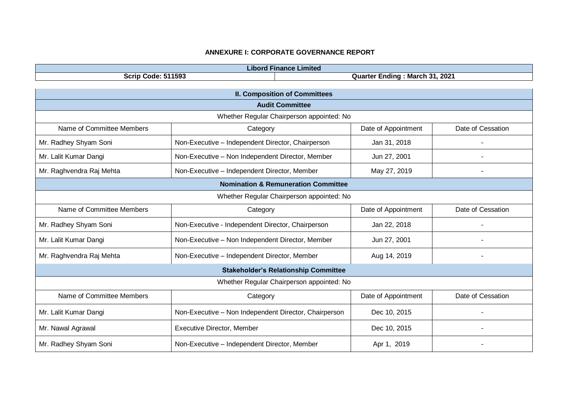| <b>Libord Finance Limited</b>                  |                                                             |  |                     |                          |  |  |
|------------------------------------------------|-------------------------------------------------------------|--|---------------------|--------------------------|--|--|
|                                                | <b>Scrip Code: 511593</b><br>Quarter Ending: March 31, 2021 |  |                     |                          |  |  |
|                                                |                                                             |  |                     |                          |  |  |
| <b>II. Composition of Committees</b>           |                                                             |  |                     |                          |  |  |
|                                                | <b>Audit Committee</b>                                      |  |                     |                          |  |  |
|                                                | Whether Regular Chairperson appointed: No                   |  |                     |                          |  |  |
| Name of Committee Members                      | Category                                                    |  | Date of Appointment | Date of Cessation        |  |  |
| Mr. Radhey Shyam Soni                          | Non-Executive - Independent Director, Chairperson           |  | Jan 31, 2018        | $\blacksquare$           |  |  |
| Mr. Lalit Kumar Dangi                          | Non-Executive - Non Independent Director, Member            |  | Jun 27, 2001        |                          |  |  |
| Mr. Raghvendra Raj Mehta                       | Non-Executive - Independent Director, Member                |  | May 27, 2019        |                          |  |  |
| <b>Nomination &amp; Remuneration Committee</b> |                                                             |  |                     |                          |  |  |
|                                                | Whether Regular Chairperson appointed: No                   |  |                     |                          |  |  |
| Name of Committee Members                      | Category                                                    |  | Date of Appointment | Date of Cessation        |  |  |
| Mr. Radhey Shyam Soni                          | Non-Executive - Independent Director, Chairperson           |  | Jan 22, 2018        |                          |  |  |
| Mr. Lalit Kumar Dangi                          | Non-Executive - Non Independent Director, Member            |  | Jun 27, 2001        |                          |  |  |
| Mr. Raghvendra Raj Mehta                       | Non-Executive - Independent Director, Member                |  | Aug 14, 2019        | $\overline{\phantom{a}}$ |  |  |
|                                                | <b>Stakeholder's Relationship Committee</b>                 |  |                     |                          |  |  |
|                                                | Whether Regular Chairperson appointed: No                   |  |                     |                          |  |  |
| Name of Committee Members                      | Category                                                    |  | Date of Appointment | Date of Cessation        |  |  |
| Mr. Lalit Kumar Dangi                          | Non-Executive - Non Independent Director, Chairperson       |  | Dec 10, 2015        |                          |  |  |
| Mr. Nawal Agrawal                              | <b>Executive Director, Member</b>                           |  | Dec 10, 2015        |                          |  |  |
| Mr. Radhey Shyam Soni                          | Non-Executive - Independent Director, Member                |  | Apr 1, 2019         |                          |  |  |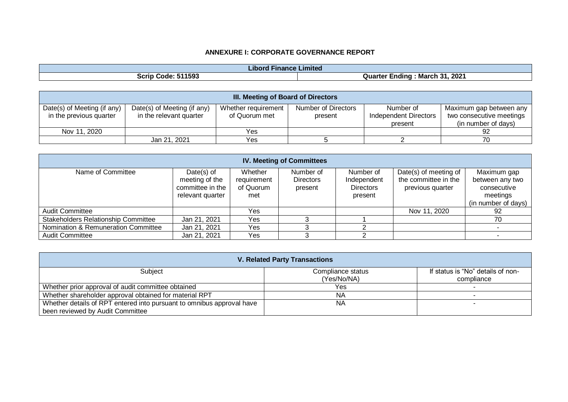| .<br><b>Finance</b><br>Libord - | Limited                                             |
|---------------------------------|-----------------------------------------------------|
| : 511593<br>Scrip<br>Code:      | - 24<br>2021<br>…Marc <i>r</i><br>Quarter<br>-ndinc |

| <b>III. Meeting of Board of Directors</b> |                             |                     |                     |                              |                          |  |  |
|-------------------------------------------|-----------------------------|---------------------|---------------------|------------------------------|--------------------------|--|--|
| Date(s) of Meeting (if any)               | Date(s) of Meeting (if any) | Whether requirement | Number of Directors | Number of                    | Maximum gap between any  |  |  |
| in the previous quarter                   | in the relevant quarter     | of Quorum met       | present             | <b>Independent Directors</b> | two consecutive meetings |  |  |
|                                           |                             |                     |                     | present                      | (in number of days)      |  |  |
| Nov 11, 2020                              |                             | Yes                 |                     |                              | 92                       |  |  |
|                                           | Jan 21, 2021                | Yes                 |                     |                              | 70                       |  |  |

| <b>IV. Meeting of Committees</b>           |                                                                      |                                            |                                          |                                                         |                                                                   |                                                                                  |  |
|--------------------------------------------|----------------------------------------------------------------------|--------------------------------------------|------------------------------------------|---------------------------------------------------------|-------------------------------------------------------------------|----------------------------------------------------------------------------------|--|
| Name of Committee                          | Date(s) of<br>meeting of the<br>committee in the<br>relevant quarter | Whether<br>requirement<br>of Quorum<br>met | Number of<br><b>Directors</b><br>present | Number of<br>Independent<br><b>Directors</b><br>present | Date(s) of meeting of<br>the committee in the<br>previous quarter | Maximum gap<br>between any two<br>consecutive<br>meetings<br>(in number of days) |  |
| <b>Audit Committee</b>                     |                                                                      | Yes                                        |                                          |                                                         | Nov 11, 2020                                                      | 92                                                                               |  |
| <b>Stakeholders Relationship Committee</b> | Jan 21, 2021                                                         | Yes                                        |                                          |                                                         |                                                                   | 70                                                                               |  |
| Nomination & Remuneration Committee        | Jan 21, 2021                                                         | Yes                                        |                                          |                                                         |                                                                   |                                                                                  |  |
| <b>Audit Committee</b>                     | Jan 21, 2021                                                         | Yes                                        |                                          |                                                         |                                                                   |                                                                                  |  |

| <b>V. Related Party Transactions</b>                                  |                   |                                   |  |  |  |
|-----------------------------------------------------------------------|-------------------|-----------------------------------|--|--|--|
| Subject                                                               | Compliance status | If status is "No" details of non- |  |  |  |
|                                                                       | (Yes/No/NA)       | compliance                        |  |  |  |
| Whether prior approval of audit committee obtained                    | Yes               |                                   |  |  |  |
| Whether shareholder approval obtained for material RPT                | NA                |                                   |  |  |  |
| Whether details of RPT entered into pursuant to omnibus approval have | ΝA                |                                   |  |  |  |
| been reviewed by Audit Committee                                      |                   |                                   |  |  |  |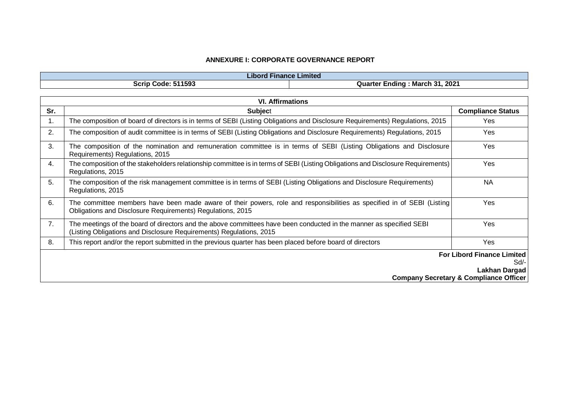| --<br>Limited<br><b>Finance</b><br>HDOIO |                                                             |  |  |  |
|------------------------------------------|-------------------------------------------------------------|--|--|--|
| 511593<br>Scrip<br>Code:<br>.            | 2021<br>- -<br><b>Provide</b><br>Quarter<br>March<br>:ndına |  |  |  |

|                | <b>VI. Affirmations</b>                                                                                                                                                                    |                          |  |  |  |
|----------------|--------------------------------------------------------------------------------------------------------------------------------------------------------------------------------------------|--------------------------|--|--|--|
| Sr.            | <b>Subject</b>                                                                                                                                                                             | <b>Compliance Status</b> |  |  |  |
| $\mathbf{1}$ . | The composition of board of directors is in terms of SEBI (Listing Obligations and Disclosure Requirements) Regulations, 2015                                                              | Yes                      |  |  |  |
| 2.             | The composition of audit committee is in terms of SEBI (Listing Obligations and Disclosure Requirements) Regulations, 2015                                                                 | Yes                      |  |  |  |
| 3.             | The composition of the nomination and remuneration committee is in terms of SEBI (Listing Obligations and Disclosure<br>Requirements) Regulations, 2015                                    | Yes                      |  |  |  |
| 4.             | The composition of the stakeholders relationship committee is in terms of SEBI (Listing Obligations and Disclosure Requirements)<br>Regulations, 2015                                      | Yes                      |  |  |  |
| 5.             | The composition of the risk management committee is in terms of SEBI (Listing Obligations and Disclosure Requirements)<br>Regulations, 2015                                                | <b>NA</b>                |  |  |  |
| 6.             | The committee members have been made aware of their powers, role and responsibilities as specified in of SEBI (Listing)<br>Obligations and Disclosure Requirements) Regulations, 2015      | Yes                      |  |  |  |
| 7.             | The meetings of the board of directors and the above committees have been conducted in the manner as specified SEBI<br>(Listing Obligations and Disclosure Requirements) Regulations, 2015 | Yes                      |  |  |  |
| 8.             | This report and/or the report submitted in the previous quarter has been placed before board of directors                                                                                  | Yes                      |  |  |  |
|                | <b>For Libord Finance Limited</b>                                                                                                                                                          |                          |  |  |  |
|                |                                                                                                                                                                                            | Sd/-                     |  |  |  |
|                | Lakhan Dargad<br><b>Company Secretary &amp; Compliance Officer</b>                                                                                                                         |                          |  |  |  |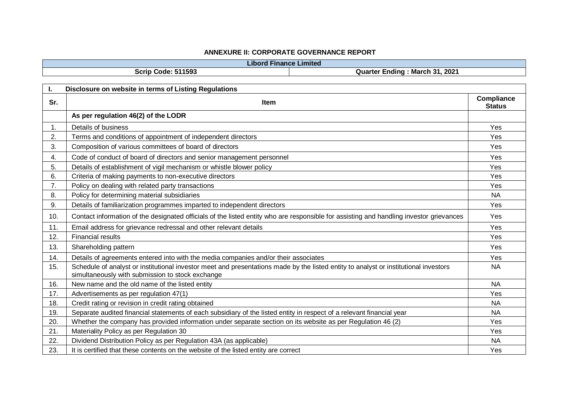|                | <b>Libord Finance Limited</b>                                                                                                                                                            |                                    |
|----------------|------------------------------------------------------------------------------------------------------------------------------------------------------------------------------------------|------------------------------------|
|                | Scrip Code: 511593<br>Quarter Ending: March 31, 2021                                                                                                                                     |                                    |
|                |                                                                                                                                                                                          |                                    |
| I.             | Disclosure on website in terms of Listing Regulations                                                                                                                                    |                                    |
| Sr.            | Item                                                                                                                                                                                     | <b>Compliance</b><br><b>Status</b> |
|                | As per regulation 46(2) of the LODR                                                                                                                                                      |                                    |
| $\mathbf{1}$ . | Details of business                                                                                                                                                                      | Yes                                |
| 2.             | Terms and conditions of appointment of independent directors                                                                                                                             | Yes                                |
| 3.             | Composition of various committees of board of directors                                                                                                                                  | Yes                                |
| 4.             | Code of conduct of board of directors and senior management personnel                                                                                                                    | Yes                                |
| 5.             | Details of establishment of vigil mechanism or whistle blower policy                                                                                                                     | Yes                                |
| 6.             | Criteria of making payments to non-executive directors                                                                                                                                   | Yes                                |
| 7.             | Policy on dealing with related party transactions                                                                                                                                        | Yes                                |
| 8.             | Policy for determining material subsidiaries                                                                                                                                             | <b>NA</b>                          |
| 9.             | Details of familiarization programmes imparted to independent directors                                                                                                                  | Yes                                |
| 10.            | Contact information of the designated officials of the listed entity who are responsible for assisting and handling investor grievances                                                  | <b>Yes</b>                         |
| 11.            | Email address for grievance redressal and other relevant details                                                                                                                         | Yes                                |
| 12.            | <b>Financial results</b>                                                                                                                                                                 | Yes                                |
| 13.            | Shareholding pattern                                                                                                                                                                     | Yes                                |
| 14.            | Details of agreements entered into with the media companies and/or their associates                                                                                                      | Yes                                |
| 15.            | Schedule of analyst or institutional investor meet and presentations made by the listed entity to analyst or institutional investors<br>simultaneously with submission to stock exchange | <b>NA</b>                          |
| 16.            | New name and the old name of the listed entity                                                                                                                                           | <b>NA</b>                          |
| 17.            | Advertisements as per regulation 47(1)                                                                                                                                                   | Yes                                |
| 18.            | Credit rating or revision in credit rating obtained                                                                                                                                      | <b>NA</b>                          |
| 19.            | Separate audited financial statements of each subsidiary of the listed entity in respect of a relevant financial year                                                                    | <b>NA</b>                          |
| 20.            | Whether the company has provided information under separate section on its website as per Regulation 46 (2)                                                                              | Yes                                |
| 21.            | Materiality Policy as per Regulation 30                                                                                                                                                  | Yes                                |
| 22.            | Dividend Distribution Policy as per Regulation 43A (as applicable)                                                                                                                       | <b>NA</b>                          |
| 23.            | It is certified that these contents on the website of the listed entity are correct                                                                                                      | Yes                                |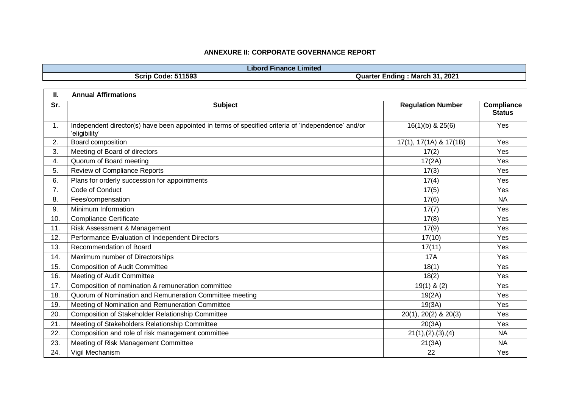|     | <b>Libord Finance Limited</b>                                                                                        |  |                                |                                    |  |  |
|-----|----------------------------------------------------------------------------------------------------------------------|--|--------------------------------|------------------------------------|--|--|
|     | <b>Scrip Code: 511593</b>                                                                                            |  | Quarter Ending: March 31, 2021 |                                    |  |  |
|     |                                                                                                                      |  |                                |                                    |  |  |
| П.  | <b>Annual Affirmations</b>                                                                                           |  |                                |                                    |  |  |
| Sr. | <b>Subject</b>                                                                                                       |  | <b>Regulation Number</b>       | <b>Compliance</b><br><b>Status</b> |  |  |
| 1.  | Independent director(s) have been appointed in terms of specified criteria of 'independence' and/or<br>'eligibility' |  | $16(1)(b)$ & $25(6)$           | Yes                                |  |  |
| 2.  | Board composition                                                                                                    |  | 17(1), 17(1A) & 17(1B)         | Yes                                |  |  |
| 3.  | Meeting of Board of directors                                                                                        |  | 17(2)                          | Yes                                |  |  |
| 4.  | Quorum of Board meeting                                                                                              |  | 17(2A)                         | Yes                                |  |  |
| 5.  | Review of Compliance Reports                                                                                         |  | 17(3)                          | Yes                                |  |  |
| 6.  | Plans for orderly succession for appointments                                                                        |  | 17(4)                          | Yes                                |  |  |
| 7.  | Code of Conduct                                                                                                      |  | 17(5)                          | Yes                                |  |  |
| 8.  | Fees/compensation                                                                                                    |  | 17(6)                          | <b>NA</b>                          |  |  |
| 9.  | Minimum Information                                                                                                  |  | 17(7)                          | Yes                                |  |  |
| 10. | <b>Compliance Certificate</b>                                                                                        |  | 17(8)                          | Yes                                |  |  |
| 11. | Risk Assessment & Management                                                                                         |  | 17(9)                          | Yes                                |  |  |
| 12. | Performance Evaluation of Independent Directors                                                                      |  | 17(10)                         | Yes                                |  |  |
| 13. | Recommendation of Board                                                                                              |  | 17(11)                         | Yes                                |  |  |
| 14. | Maximum number of Directorships                                                                                      |  | <b>17A</b>                     | Yes                                |  |  |
| 15. | <b>Composition of Audit Committee</b>                                                                                |  | 18(1)                          | Yes                                |  |  |
| 16. | Meeting of Audit Committee                                                                                           |  | 18(2)                          | Yes                                |  |  |
| 17. | Composition of nomination & remuneration committee                                                                   |  | $19(1)$ & (2)                  | Yes                                |  |  |
| 18. | Quorum of Nomination and Remuneration Committee meeting                                                              |  | 19(2A)                         | Yes                                |  |  |
| 19. | Meeting of Nomination and Remuneration Committee                                                                     |  | 19(3A)                         | Yes                                |  |  |
| 20. | Composition of Stakeholder Relationship Committee                                                                    |  | 20(1), 20(2) & 20(3)           | Yes                                |  |  |
| 21. | Meeting of Stakeholders Relationship Committee                                                                       |  | 20(3A)                         | Yes                                |  |  |
| 22. | Composition and role of risk management committee                                                                    |  | 21(1), (2), (3), (4)           | <b>NA</b>                          |  |  |
| 23. | Meeting of Risk Management Committee                                                                                 |  | 21(3A)                         | <b>NA</b>                          |  |  |
| 24. | Vigil Mechanism                                                                                                      |  | 22                             | Yes                                |  |  |